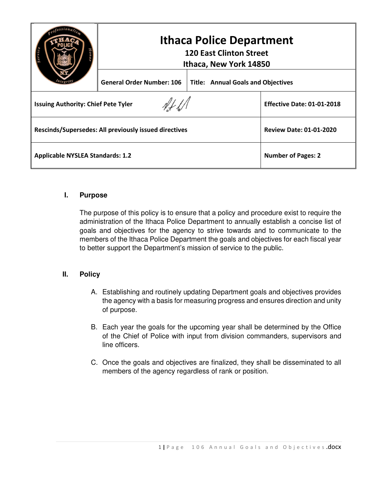|                                                       | <b>Ithaca Police Department</b><br><b>120 East Clinton Street</b><br>Ithaca, New York 14850 |                                           |                                   |
|-------------------------------------------------------|---------------------------------------------------------------------------------------------|-------------------------------------------|-----------------------------------|
|                                                       | <b>General Order Number: 106</b>                                                            | <b>Title: Annual Goals and Objectives</b> |                                   |
| <b>Issuing Authority: Chief Pete Tyler</b>            |                                                                                             |                                           | <b>Effective Date: 01-01-2018</b> |
| Rescinds/Supersedes: All previously issued directives |                                                                                             |                                           | <b>Review Date: 01-01-2020</b>    |
| <b>Applicable NYSLEA Standards: 1.2</b>               |                                                                                             |                                           | <b>Number of Pages: 2</b>         |

## **I. Purpose**

The purpose of this policy is to ensure that a policy and procedure exist to require the administration of the Ithaca Police Department to annually establish a concise list of goals and objectives for the agency to strive towards and to communicate to the members of the Ithaca Police Department the goals and objectives for each fiscal year to better support the Department's mission of service to the public.

## **II. Policy**

- A. Establishing and routinely updating Department goals and objectives provides the agency with a basis for measuring progress and ensures direction and unity of purpose.
- B. Each year the goals for the upcoming year shall be determined by the Office of the Chief of Police with input from division commanders, supervisors and line officers.
- C. Once the goals and objectives are finalized, they shall be disseminated to all members of the agency regardless of rank or position.